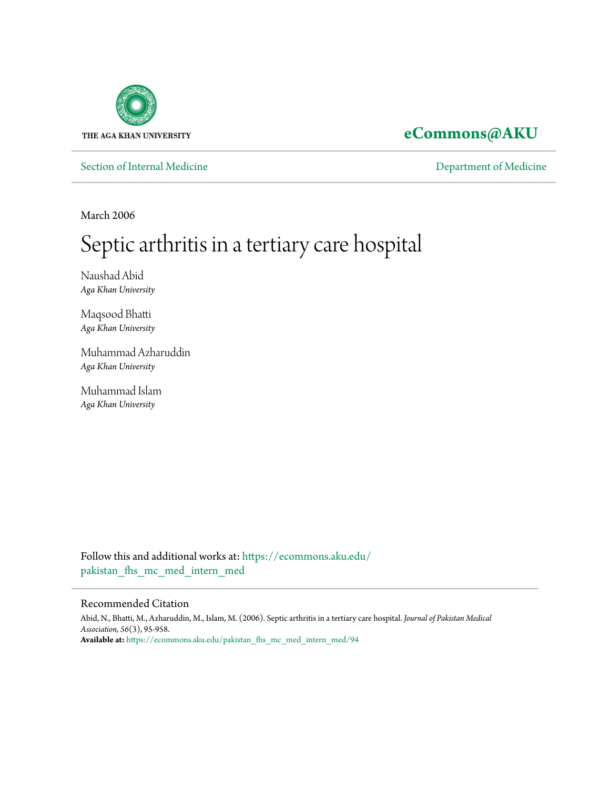

**[eCommons@AKU](https://ecommons.aku.edu?utm_source=ecommons.aku.edu%2Fpakistan_fhs_mc_med_intern_med%2F94&utm_medium=PDF&utm_campaign=PDFCoverPages)**

[Section of Internal Medicine](https://ecommons.aku.edu/pakistan_fhs_mc_med_intern_med?utm_source=ecommons.aku.edu%2Fpakistan_fhs_mc_med_intern_med%2F94&utm_medium=PDF&utm_campaign=PDFCoverPages) **[Department of Medicine](https://ecommons.aku.edu/pakistan_fhs_mc_med?utm_source=ecommons.aku.edu%2Fpakistan_fhs_mc_med_intern_med%2F94&utm_medium=PDF&utm_campaign=PDFCoverPages)** 

March 2006

# Septic arthritis in a tertiary care hospital

Naushad Abid *Aga Khan University*

Maqsood Bhatti *Aga Khan University*

Muhammad Azharuddin *Aga Khan University*

Muhammad Islam *Aga Khan University*

Follow this and additional works at: [https://ecommons.aku.edu/](https://ecommons.aku.edu/pakistan_fhs_mc_med_intern_med?utm_source=ecommons.aku.edu%2Fpakistan_fhs_mc_med_intern_med%2F94&utm_medium=PDF&utm_campaign=PDFCoverPages) pakistan fhs mc med intern med

### Recommended Citation

Abid, N., Bhatti, M., Azharuddin, M., Islam, M. (2006). Septic arthritis in a tertiary care hospital. *Journal of Pakistan Medical Association, 56*(3), 95-958. **Available at:** [https://ecommons.aku.edu/pakistan\\_fhs\\_mc\\_med\\_intern\\_med/94](https://ecommons.aku.edu/pakistan_fhs_mc_med_intern_med/94)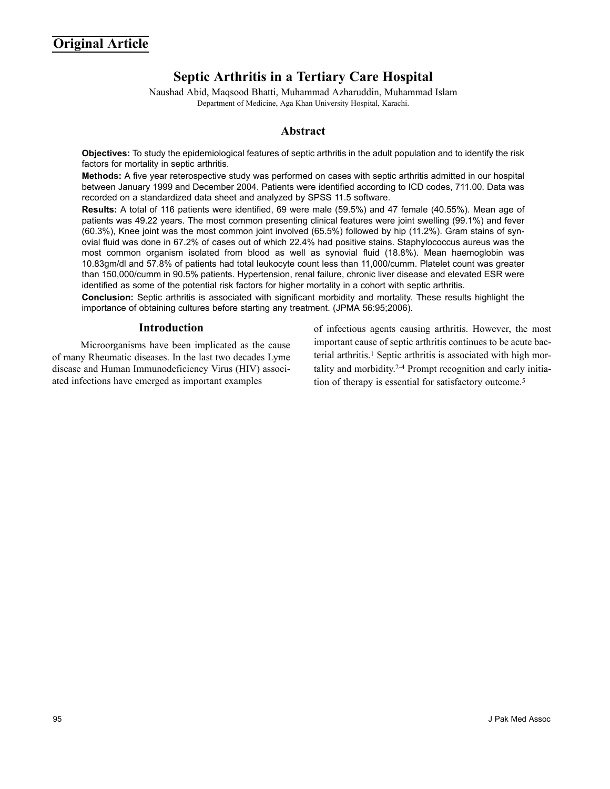# **Septic Arthritis in a Tertiary Care Hospital**

Naushad Abid, Maqsood Bhatti, Muhammad Azharuddin, Muhammad Islam Department of Medicine, Aga Khan University Hospital, Karachi.

## **Abstract**

**Objectives:** To study the epidemiological features of septic arthritis in the adult population and to identify the risk factors for mortality in septic arthritis.

**Methods:** A five year reterospective study was performed on cases with septic arthritis admitted in our hospital between January 1999 and December 2004. Patients were identified according to ICD codes, 711.00. Data was recorded on a standardized data sheet and analyzed by SPSS 11.5 software.

**Results:** A total of 116 patients were identified, 69 were male (59.5%) and 47 female (40.55%). Mean age of patients was 49.22 years. The most common presenting clinical features were joint swelling (99.1%) and fever (60.3%), Knee joint was the most common joint involved (65.5%) followed by hip (11.2%). Gram stains of synovial fluid was done in 67.2% of cases out of which 22.4% had positive stains. Staphylococcus aureus was the most common organism isolated from blood as well as synovial fluid (18.8%). Mean haemoglobin was 10.83gm/dl and 57.8% of patients had total leukocyte count less than 11,000/cumm. Platelet count was greater than 150,000/cumm in 90.5% patients. Hypertension, renal failure, chronic liver disease and elevated ESR were identified as some of the potential risk factors for higher mortality in a cohort with septic arthritis.

**Conclusion:** Septic arthritis is associated with significant morbidity and mortality. These results highlight the importance of obtaining cultures before starting any treatment. (JPMA 56:95;2006).

#### **Introduction**

Microorganisms have been implicated as the cause of many Rheumatic diseases. In the last two decades Lyme disease and Human Immunodeficiency Virus (HIV) associated infections have emerged as important examples

of infectious agents causing arthritis. However, the most important cause of septic arthritis continues to be acute bacterial arthritis.<sup>1</sup> Septic arthritis is associated with high mortality and morbidity.2-4 Prompt recognition and early initiation of therapy is essential for satisfactory outcome.5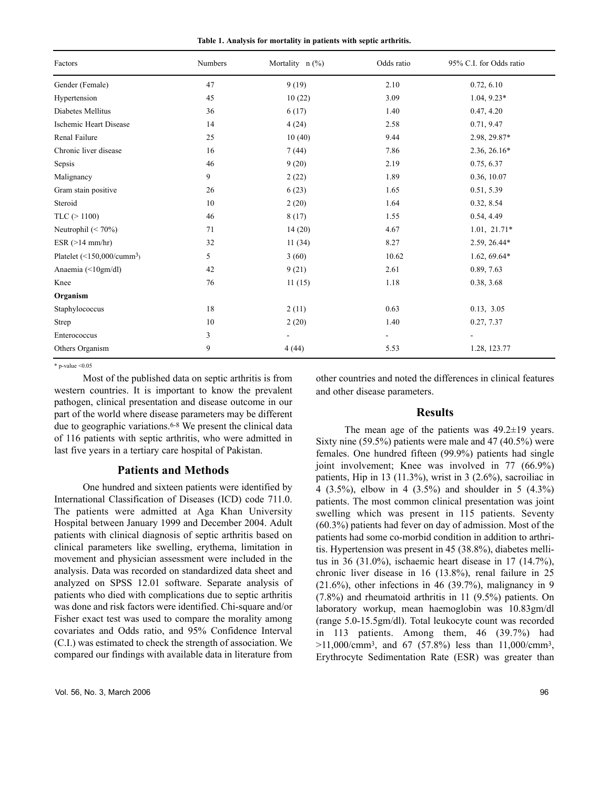|  | Table 1. Analysis for mortality in patients with septic arthritis. |  |  |  |
|--|--------------------------------------------------------------------|--|--|--|
|  |                                                                    |  |  |  |

| Factors                                       | Numbers | Mortality $n$ (%) | Odds ratio                   | 95% C.I. for Odds ratio |
|-----------------------------------------------|---------|-------------------|------------------------------|-------------------------|
| Gender (Female)                               | 47      | 9(19)             | 2.10                         | 0.72, 6.10              |
| Hypertension                                  | 45      | 10(22)            | 3.09                         | $1.04, 9.23*$           |
| Diabetes Mellitus                             | 36      | 6(17)             | 1.40                         | 0.47, 4.20              |
| Ischemic Heart Disease                        | 14      | 4(24)             | 2.58                         | 0.71, 9.47              |
| Renal Failure                                 | 25      | 10(40)            | 9.44                         | 2.98, 29.87*            |
| Chronic liver disease                         | 16      | 7(44)             | 7.86                         | 2.36, 26.16*            |
| Sepsis                                        | 46      | 9(20)             | 2.19                         | 0.75, 6.37              |
| Malignancy                                    | 9       | 2(22)             | 1.89                         | 0.36, 10.07             |
| Gram stain positive                           | 26      | 6(23)             | 1.65                         | 0.51, 5.39              |
| Steroid                                       | 10      | 2(20)             | 1.64                         | 0.32, 8.54              |
| $TLC$ ( $> 1100$ )                            | 46      | 8(17)             | 1.55                         | 0.54, 4.49              |
| Neutrophil $(< 70\%)$                         | 71      | 14(20)            | 4.67                         | $1.01, 21.71*$          |
| ESR (>14 mm/hr)                               | 32      | 11(34)            | 8.27                         | 2.59, 26.44*            |
| Platelet $(\leq 150,000/c$ umm <sup>3</sup> ) | 5       | 3(60)             | 10.62                        | $1.62, 69.64*$          |
| Anaemia (<10gm/dl)                            | 42      | 9(21)             | 2.61                         | 0.89, 7.63              |
| Knee                                          | 76      | 11(15)            | 1.18                         | 0.38, 3.68              |
| Organism                                      |         |                   |                              |                         |
| Staphylococcus                                | 18      | 2(11)             | 0.63                         | 0.13, 3.05              |
| Strep                                         | 10      | 2(20)             | 1.40                         | 0.27, 7.37              |
| Enterococcus                                  | 3       |                   | $\qquad \qquad \blacksquare$ | $\blacksquare$          |
| Others Organism                               | 9       | 4(44)             | 5.53                         | 1.28, 123.77            |

 $*$  p-value  $\leq 0.05$ 

Most of the published data on septic arthritis is from western countries. It is important to know the prevalent pathogen, clinical presentation and disease outcome in our part of the world where disease parameters may be different due to geographic variations.<sup>6-8</sup> We present the clinical data of 116 patients with septic arthritis, who were admitted in last five years in a tertiary care hospital of Pakistan.

#### **Patients and Methods**

One hundred and sixteen patients were identified by International Classification of Diseases (ICD) code 711.0. The patients were admitted at Aga Khan University Hospital between January 1999 and December 2004. Adult patients with clinical diagnosis of septic arthritis based on clinical parameters like swelling, erythema, limitation in movement and physician assessment were included in the analysis. Data was recorded on standardized data sheet and analyzed on SPSS 12.01 software. Separate analysis of patients who died with complications due to septic arthritis was done and risk factors were identified. Chi-square and/or Fisher exact test was used to compare the morality among covariates and Odds ratio, and 95% Confidence Interval (C.I.) was estimated to check the strength of association. We compared our findings with available data in literature from other countries and noted the differences in clinical features and other disease parameters.

#### **Results**

The mean age of the patients was 49.2 $\pm$ 19 years. Sixty nine (59.5%) patients were male and 47 (40.5%) were females. One hundred fifteen (99.9%) patients had single joint involvement; Knee was involved in 77 (66.9%) patients, Hip in 13 (11.3%), wrist in 3 (2.6%), sacroiliac in 4 (3.5%), elbow in 4 (3.5%) and shoulder in 5 (4.3%) patients. The most common clinical presentation was joint swelling which was present in 115 patients. Seventy (60.3%) patients had fever on day of admission. Most of the patients had some co-morbid condition in addition to arthritis. Hypertension was present in 45 (38.8%), diabetes mellitus in 36 (31.0%), ischaemic heart disease in 17 (14.7%), chronic liver disease in 16 (13.8%), renal failure in 25  $(21.6\%)$ , other infections in 46 (39.7%), malignancy in 9 (7.8%) and rheumatoid arthritis in 11 (9.5%) patients. On laboratory workup, mean haemoglobin was 10.83gm/dl (range 5.0-15.5gm/dl). Total leukocyte count was recorded in 113 patients. Among them, 46 (39.7%) had  $>11,000/cmm^3$ , and 67 (57.8%) less than 11,000/cmm<sup>3</sup>, Erythrocyte Sedimentation Rate (ESR) was greater than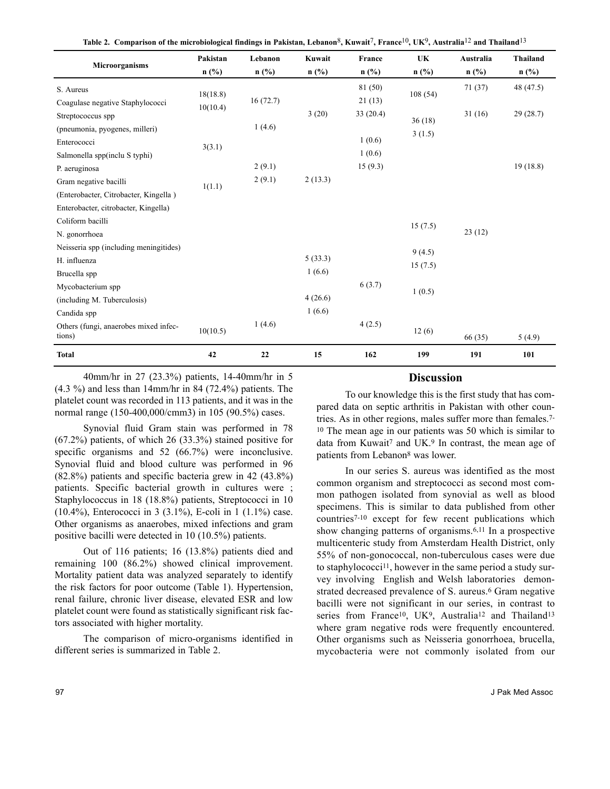|                                                 | Pakistan | Lebanon  | Kuwait  | France   | UK      | Australia | <b>Thailand</b> |
|-------------------------------------------------|----------|----------|---------|----------|---------|-----------|-----------------|
| Microorganisms                                  | $n$ (%)  | $n$ (%)  | $n$ (%) | $n$ (%)  | $n$ (%) | $n$ (%)   | $n$ (%)         |
| S. Aureus                                       |          |          |         | 81 (50)  |         | 71(37)    | 48 (47.5)       |
| Coagulase negative Staphylococci                | 18(18.8) | 16(72.7) |         | 21(13)   | 108(54) |           |                 |
| Streptococcus spp                               | 10(10.4) |          | 3(20)   | 33(20.4) |         | 31(16)    | 29(28.7)        |
| (pneumonia, pyogenes, milleri)                  |          | 1(4.6)   |         |          | 36(18)  |           |                 |
| Enterococci                                     | 3(3.1)   |          |         | 1(0.6)   | 3(1.5)  |           |                 |
| Salmonella spp(inclu S typhi)                   |          |          |         | 1(0.6)   |         |           |                 |
| P. aeruginosa                                   |          | 2(9.1)   |         | 15(9.3)  |         |           | 19(18.8)        |
| Gram negative bacilli                           |          | 2(9.1)   | 2(13.3) |          |         |           |                 |
| (Enterobacter, Citrobacter, Kingella)           | 1(1.1)   |          |         |          |         |           |                 |
| Enterobacter, citrobacter, Kingella)            |          |          |         |          |         |           |                 |
| Coliform bacilli                                |          |          |         |          | 15(7.5) |           |                 |
| N. gonorrhoea                                   |          |          |         |          |         | 23(12)    |                 |
| Neisseria spp (including meningitides)          |          |          |         |          | 9(4.5)  |           |                 |
| H. influenza                                    |          |          | 5(33.3) |          | 15(7.5) |           |                 |
| Brucella spp                                    |          |          | 1(6.6)  |          |         |           |                 |
| Mycobacterium spp                               |          |          |         | 6(3.7)   | 1(0.5)  |           |                 |
| (including M. Tuberculosis)                     |          |          | 4(26.6) |          |         |           |                 |
| Candida spp                                     |          |          | 1(6.6)  |          |         |           |                 |
| Others (fungi, anaerobes mixed infec-<br>tions) | 10(10.5) | 1(4.6)   |         | 4(2.5)   | 12(6)   | 66 (35)   | 5(4.9)          |
| <b>Total</b>                                    | 42       | 22       | 15      | 162      | 199     | 191       | 101             |

**Table 2. Comparison of the microbiological findings in Pakistan, Lebanon**8**, Kuwait**7**, France**10**, UK**9**, Australia**12 **and Thailand**13

40mm/hr in 27 (23.3%) patients, 14-40mm/hr in 5 (4.3 %) and less than 14mm/hr in 84 (72.4%) patients. The platelet count was recorded in 113 patients, and it was in the normal range (150-400,000/cmm3) in 105 (90.5%) cases.

Synovial fluid Gram stain was performed in 78 (67.2%) patients, of which 26 (33.3%) stained positive for specific organisms and 52 (66.7%) were inconclusive. Synovial fluid and blood culture was performed in 96 (82.8%) patients and specific bacteria grew in 42 (43.8%) patients. Specific bacterial growth in cultures were ; Staphylococcus in 18 (18.8%) patients, Streptococci in 10 (10.4%), Enterococci in 3 (3.1%), E-coli in 1 (1.1%) case. Other organisms as anaerobes, mixed infections and gram positive bacilli were detected in 10 (10.5%) patients.

Out of 116 patients; 16 (13.8%) patients died and remaining 100 (86.2%) showed clinical improvement. Mortality patient data was analyzed separately to identify the risk factors for poor outcome (Table 1). Hypertension, renal failure, chronic liver disease, elevated ESR and low platelet count were found as statistically significant risk factors associated with higher mortality.

The comparison of micro-organisms identified in different series is summarized in Table 2.

#### **Discussion**

To our knowledge this is the first study that has compared data on septic arthritis in Pakistan with other countries. As in other regions, males suffer more than females.7- <sup>10</sup> The mean age in our patients was 50 which is similar to data from Kuwait<sup>7</sup> and UK.<sup>9</sup> In contrast, the mean age of patients from Lebanon8 was lower.

In our series S. aureus was identified as the most common organism and streptococci as second most common pathogen isolated from synovial as well as blood specimens. This is similar to data published from other countries7-10 except for few recent publications which show changing patterns of organisms.6,11 In a prospective multicenteric study from Amsterdam Health District, only 55% of non-gonococcal, non-tuberculous cases were due to staphylococci11, however in the same period a study survey involving English and Welsh laboratories demonstrated decreased prevalence of S. aureus.<sup>6</sup> Gram negative bacilli were not significant in our series, in contrast to series from France<sup>10</sup>, UK<sup>9</sup>, Australia<sup>12</sup> and Thailand<sup>13</sup> where gram negative rods were frequently encountered. Other organisms such as Neisseria gonorrhoea, brucella, mycobacteria were not commonly isolated from our